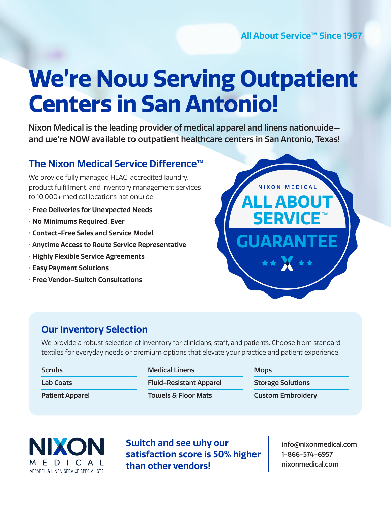# **We're Now Serving Outpatient Centers in San Antonio!**

Nixon Medical is the leading provider of medical apparel and linens nationwide and we're NOW available to outpatient healthcare centers in San Antonio, Texas!

# **The Nixon Medical Service Difference™**

We provide fully managed HLAC-accredited laundry, product fulfillment, and inventory management services to 10,000+ medical locations nationwide.

- **Free Deliveries for Unexpected Needs**
- **No Minimums Required, Ever**
- **Contact-Free Sales and Service Model**
- **Anytime Access to Route Service Representative**
- **Highly Flexible Service Agreements**
- **Easy Payment Solutions**
- **Free Vendor-Switch Consultations**



### **Our Inventory Selection**

We provide a robust selection of inventory for clinicians, staff, and patients. Choose from standard textiles for everyday needs or premium options that elevate your practice and patient experience.

| <b>Medical Linens</b>          | <b>Mops</b>              |
|--------------------------------|--------------------------|
| <b>Fluid-Resistant Apparel</b> | <b>Storage Solutions</b> |
| <b>Towels &amp; Floor Mats</b> | <b>Custom Embroidery</b> |
|                                |                          |



**Switch and see why our satisfaction score is 50% higher than other vendors!** 

info@nixonmedical.com 1-866-574-6957 nixonmedical.com